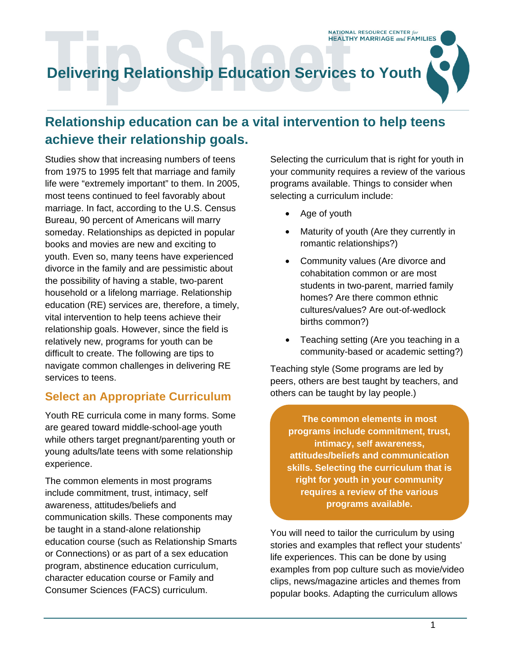# **Delivering Relationship Education Services to Youth**

## **Relationship education can be a vital intervention to help teens achieve their relationship goals.**

Studies show that increasing numbers of teens from 1975 to 1995 felt that marriage and family life were "extremely important" to them. In 2005, most teens continued to feel favorably about marriage. In fact, according to the U.S. Census Bureau, 90 percent of Americans will marry someday. Relationships as depicted in popular books and movies are new and exciting to youth. Even so, many teens have experienced divorce in the family and are pessimistic about the possibility of having a stable, two-parent household or a lifelong marriage. Relationship education (RE) services are, therefore, a timely, vital intervention to help teens achieve their relationship goals. However, since the field is relatively new, programs for youth can be difficult to create. The following are tips to navigate common challenges in delivering RE services to teens.

#### **Select an Appropriate Curriculum**

Youth RE curricula come in many forms. Some are geared toward middle-school-age youth while others target pregnant/parenting youth or young adults/late teens with some relationship experience.

The common elements in most programs include commitment, trust, intimacy, self awareness, attitudes/beliefs and communication skills. These components may be taught in a stand-alone relationship education course (such as Relationship Smarts or Connections) or as part of a sex education program, abstinence education curriculum, character education course or Family and Consumer Sciences (FACS) curriculum.

Selecting the curriculum that is right for youth in your community requires a review of the various programs available. Things to consider when selecting a curriculum include:

**NATIONAL RESOURCE CENTER for HEALTHY MARRIAGE and FAMILIES** 

- Age of youth
- Maturity of youth (Are they currently in romantic relationships?)
- Community values (Are divorce and cohabitation common or are most students in two-parent, married family homes? Are there common ethnic cultures/values? Are out-of-wedlock births common?)
- Teaching setting (Are you teaching in a community-based or academic setting?)

Teaching style (Some programs are led by peers, others are best taught by teachers, and others can be taught by lay people.)

**The common elements in most programs include commitment, trust, intimacy, self awareness, attitudes/beliefs and communication skills. Selecting the curriculum that is right for youth in your community requires a review of the various programs available.** 

You will need to tailor the curriculum by using stories and examples that reflect your students' life experiences. This can be done by using examples from pop culture such as movie/video clips, news/magazine articles and themes from popular books. Adapting the curriculum allows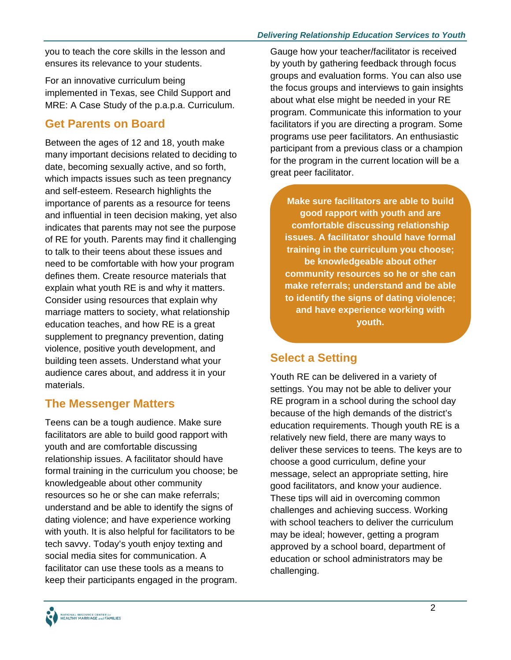you to teach the core skills in the lesson and ensures its relevance to your students.

For an innovative curriculum being implemented in Texas, see Child Support and MRE: A Case Study of the p.a.p.a. Curriculum.

### **Get Parents on Board**

Between the ages of 12 and 18, youth make many important decisions related to deciding to date, becoming sexually active, and so forth, which impacts issues such as teen pregnancy and self-esteem. Research highlights the importance of parents as a resource for teens and influential in teen decision making, yet also indicates that parents may not see the purpose of RE for youth. Parents may find it challenging to talk to their teens about these issues and need to be comfortable with how your program defines them. Create resource materials that explain what youth RE is and why it matters. Consider using resources that explain why marriage matters to society, what relationship education teaches, and how RE is a great supplement to pregnancy prevention, dating violence, positive youth development, and building teen assets. Understand what your audience cares about, and address it in your materials.

#### **The Messenger Matters**

Teens can be a tough audience. Make sure facilitators are able to build good rapport with youth and are comfortable discussing relationship issues. A facilitator should have formal training in the curriculum you choose; be knowledgeable about other community resources so he or she can make referrals; understand and be able to identify the signs of dating violence; and have experience working with youth. It is also helpful for facilitators to be tech savvy. Today's youth enjoy texting and social media sites for communication. A facilitator can use these tools as a means to keep their participants engaged in the program.

Gauge how your teacher/facilitator is received by youth by gathering feedback through focus groups and evaluation forms. You can also use the focus groups and interviews to gain insights about what else might be needed in your RE program. Communicate this information to your facilitators if you are directing a program. Some programs use peer facilitators. An enthusiastic participant from a previous class or a champion for the program in the current location will be a great peer facilitator.

**Make sure facilitators are able to build good rapport with youth and are comfortable discussing relationship issues. A facilitator should have formal training in the curriculum you choose; be knowledgeable about other community resources so he or she can make referrals; understand and be able to identify the signs of dating violence; and have experience working with youth.** 

### **Select a Setting**

Youth RE can be delivered in a variety of settings. You may not be able to deliver your RE program in a school during the school day because of the high demands of the district's education requirements. Though youth RE is a relatively new field, there are many ways to deliver these services to teens. The keys are to choose a good curriculum, define your message, select an appropriate setting, hire good facilitators, and know your audience. These tips will aid in overcoming common challenges and achieving success. Working with school teachers to deliver the curriculum may be ideal; however, getting a program approved by a school board, department of education or school administrators may be challenging.